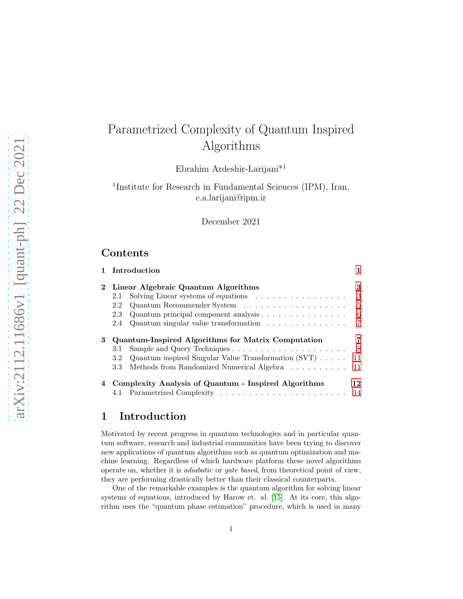# Parametrized Complexity of Quantum Inspired Algorithms

Ebrahim Ardeshir-Larijani\*<sup>1</sup>

1 Institute for Research in Fundamental Sciences (IPM), Iran, e.a.larijani@ipm.ir

December 2021

# Contents

|             | 1 Introduction                                                                  | 1   |  |  |  |  |  |  |  |  |
|-------------|---------------------------------------------------------------------------------|-----|--|--|--|--|--|--|--|--|
| $\mathbf 2$ | Linear Algebraic Quantum Algorithms                                             |     |  |  |  |  |  |  |  |  |
|             | Solving Linear systems of equations $\ldots \ldots \ldots \ldots \ldots$<br>2.1 | 3   |  |  |  |  |  |  |  |  |
|             | 2.2                                                                             | 5   |  |  |  |  |  |  |  |  |
|             | Quantum principal component analysis $\ldots$<br>2.3                            | 6   |  |  |  |  |  |  |  |  |
|             | Quantum singular value transformation $\ldots \ldots \ldots \ldots$<br>2.4      | 7   |  |  |  |  |  |  |  |  |
| 3           | <b>Quantum-Inspired Algorithms for Matrix Computation</b>                       |     |  |  |  |  |  |  |  |  |
|             | 3.1                                                                             | - 8 |  |  |  |  |  |  |  |  |
|             | Quantum inspired Singular Value Transformation $(SVT) \ldots$ .<br>3.2          | 11  |  |  |  |  |  |  |  |  |
|             | Methods from Randomized Numerical Algebra<br>3.3                                | 11  |  |  |  |  |  |  |  |  |
| 4           | Complexity Analysis of Quantum - Inspired Algorithms                            | 12  |  |  |  |  |  |  |  |  |

# <span id="page-0-0"></span>1 Introduction

Motivated by recent progress in quantum technologies and in particular quantum software, research and industrial communities have been trying to discover new applications of quantum algorithms such as quantum optimization and machine learning. Regardless of which hardware platform these novel algorithms operate on, whether it is *adiabatic* or *gate based*, from theoretical point of view, they are performing drastically better than their classical counterparts.

One of the remarkable examples is the quantum algorithm for solving linear systems of equations, introduced by Harow et. al. [\[15\]](#page-18-0). At its core, this algorithm uses the "quantum phase estimation" procedure, which is used in many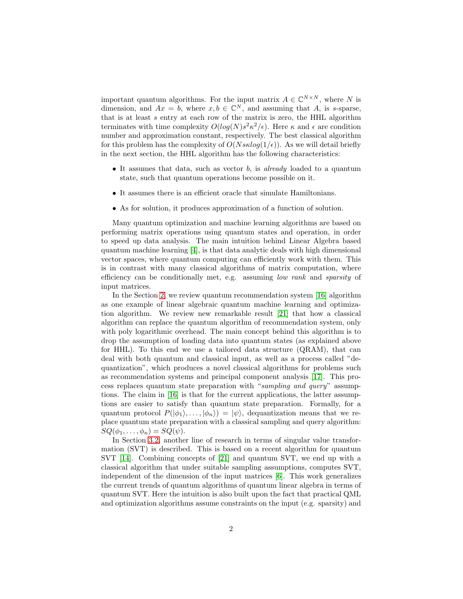important quantum algorithms. For the input matrix  $A \in \mathbb{C}^{N \times N}$ , where N is dimension, and  $Ax = b$ , where  $x, b \in \mathbb{C}^N$ , and assuming that A, is s-sparse, that is at least  $s$  entry at each row of the matrix is zero, the HHL algorithm terminates with time complexity  $O(log(N)s^2\kappa^2/\epsilon)$ . Here  $\kappa$  and  $\epsilon$  are condition number and approximation constant, respectively. The best classical algorithm for this problem has the complexity of  $O(Nsklog(1/\epsilon))$ . As we will detail briefly in the next section, the HHL algorithm has the following characteristics:

- It assumes that data, such as vector b, is *already* loaded to a quantum state, such that quantum operations become possible on it.
- It assumes there is an efficient oracle that simulate Hamiltonians.
- As for solution, it produces approximation of a function of solution.

Many quantum optimization and machine learning algorithms are based on performing matrix operations using quantum states and operation, in order to speed up data analysis. The main intuition behind Linear Algebra based quantum machine learning [\[4\]](#page-17-0), is that data analytic deals with high dimensional vector spaces, where quantum computing can efficiently work with them. This is in contrast with many classical algorithms of matrix computation, where efficiency can be conditionally met, e.g. assuming *low rank* and *sparsity* of input matrices.

In the Section [2,](#page-2-0) we review quantum recommendation system [\[16\]](#page-18-1) algorithm as one example of linear algebraic quantum machine learning and optimization algorithm. We review new remarkable result [\[21\]](#page-18-2) that how a classical algorithm can replace the quantum algorithm of recommendation system, only with poly logarithmic overhead. The main concept behind this algorithm is to drop the assumption of loading data into quantum states (as explained above for HHL). To this end we use a tailored data structure (QRAM), that can deal with both quantum and classical input, as well as a process called "dequantization", which produces a novel classical algorithms for problems such as recommendation systems and principal component analysis [\[17\]](#page-18-3). This process replaces quantum state preparation with "*sampling and query*" assumptions. The claim in [\[16\]](#page-18-1) is that for the current applications, the latter assumptions are easier to satisfy than quantum state preparation. Formally, for a quantum protocol  $P(|\phi_1\rangle, \ldots, |\phi_n\rangle) = |\psi\rangle$ , dequantization means that we replace quantum state preparation with a classical sampling and query algorithm:  $SQ(\phi_1,\ldots,\phi_n)=SQ(\psi).$ 

In Section [3.2,](#page-10-0) another line of research in terms of singular value transformation (SVT) is described. This is based on a recent algorithm for quantum SVT [\[14\]](#page-18-4). Combining concepts of [\[21\]](#page-18-2) and quantum SVT, we end up with a classical algorithm that under suitable sampling assumptions, computes SVT, independent of the dimension of the input matrices [\[6\]](#page-17-1). This work generalizes the current trends of quantum algorithms of quantum linear algebra in terms of quantum SVT. Here the intuition is also built upon the fact that practical QML and optimization algorithms assume constraints on the input (e.g. sparsity) and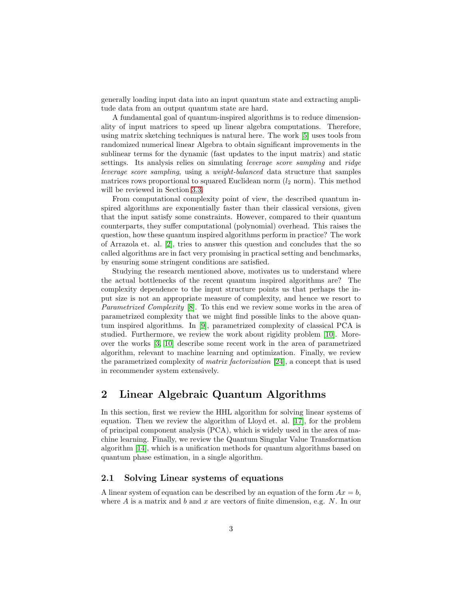generally loading input data into an input quantum state and extracting amplitude data from an output quantum state are hard.

A fundamental goal of quantum-inspired algorithms is to reduce dimensionality of input matrices to speed up linear algebra computations. Therefore, using matrix sketching techniques is natural here. The work [\[5\]](#page-17-2) uses tools from randomized numerical linear Algebra to obtain significant improvements in the sublinear terms for the dynamic (fast updates to the input matrix) and static settings. Its analysis relies on simulating *leverage score sampling* and *ridge leverage score sampling*, using a *weight-balanced* data structure that samples matrices rows proportional to squared Euclidean norm  $(l_2 \text{ norm})$ . This method will be reviewed in Section [3.3.](#page-10-1)

From computational complexity point of view, the described quantum inspired algorithms are exponentially faster than their classical versions, given that the input satisfy some constraints. However, compared to their quantum counterparts, they suffer computational (polynomial) overhead. This raises the question, how these quantum inspired algorithms perform in practice? The work of Arrazola et. al. [\[2\]](#page-16-0), tries to answer this question and concludes that the so called algorithms are in fact very promising in practical setting and benchmarks, by ensuring some stringent conditions are satisfied.

Studying the research mentioned above, motivates us to understand where the actual bottlenecks of the recent quantum inspired algorithms are? The complexity dependence to the input structure points us that perhaps the input size is not an appropriate measure of complexity, and hence we resort to *Parametrized Complexity* [\[8\]](#page-17-3). To this end we review some works in the area of parametrized complexity that we might find possible links to the above quantum inspired algorithms. In [\[9\]](#page-17-4), parametrized complexity of classical PCA is studied. Furthermore, we review the work about rigidity problem [\[10\]](#page-17-5). Moreover the works [\[3,](#page-16-1) [10\]](#page-17-5) describe some recent work in the area of parametrized algorithm, relevant to machine learning and optimization. Finally, we review the parametrized complexity of *matrix factorization* [\[24\]](#page-19-0), a concept that is used in recommender system extensively.

## <span id="page-2-0"></span>2 Linear Algebraic Quantum Algorithms

In this section, first we review the HHL algorithm for solving linear systems of equation. Then we review the algorithm of Lloyd et. al. [\[17\]](#page-18-3), for the problem of principal component analysis (PCA), which is widely used in the area of machine learning. Finally, we review the Quantum Singular Value Transformation algorithm [\[14\]](#page-18-4), which is a unification methods for quantum algorithms based on quantum phase estimation, in a single algorithm.

### <span id="page-2-1"></span>2.1 Solving Linear systems of equations

A linear system of equation can be described by an equation of the form  $Ax = b$ , where  $A$  is a matrix and  $b$  and  $x$  are vectors of finite dimension, e.g.  $N$ . In our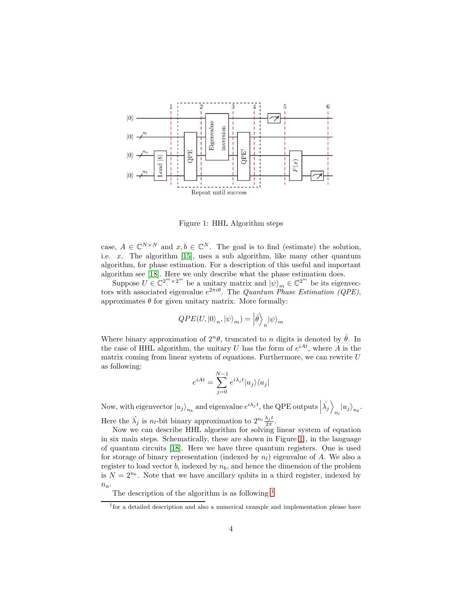

<span id="page-3-0"></span>Figure 1: HHL Algorithm steps

case,  $A \in \mathbb{C}^{N \times N}$  and  $x, b \in \mathbb{C}^{N}$ . The goal is to find (estimate) the solution, i.e.  $x$ . The algorithm [\[15\]](#page-18-0), uses a sub algorithm, like many other quantum algorithm, for phase estimation. For a description of this useful and important algorithm see [\[18\]](#page-18-5). Here we only describe what the phase estimation does.

Suppose  $U \in \mathbb{C}^{2^m \times 2^m}$  be a unitary matrix and  $|\psi\rangle_m \in \mathbb{C}^{2^m}$  be its eigenvectors with associated eigenvalue  $e^{2\pi i\theta}$ . The *Quantum Phase Estimation (QPE)*, approximates  $\theta$  for given unitary matrix. More formally:

$$
QPE(U, |0\rangle_n, |\psi\rangle_m) = \left|\hat{\theta}\right\rangle_n |\psi\rangle_m
$$

Where binary approximation of  $2^n\theta$ , truncated to n digits is denoted by  $\hat{\theta}$ . In the case of HHL algorithm, the unitary U has the form of  $e^{iAt}$ , where A is the matrix coming from linear system of equations. Furthermore, we can rewrite  $U$ as following:

$$
e^{iAt} = \sum_{j=0}^{N-1} e^{i\lambda_j t} |u_j\rangle\langle u_j|
$$

Now, with eigenvector  $|u_j\rangle_{n_b}$  and eigenvalue  $e^{i\lambda_j t}$ , the QPE outputs  $|\hat{\lambda_j}\rangle$  $|u_j\rangle_{n_b}.$ Here the  $\hat{\lambda}_j$  is  $n_l$ -bit binary approximation to  $2^{n_l} \frac{\lambda_j t}{2 \pi}$  $\frac{\lambda_j t}{2\pi}$ .

Now we can describe HHL algorithm for solving linear system of equation in six main steps. Schematically, these are shown in Figure [1](#page-3-0) , in the language of quantum circuits [\[18\]](#page-18-5). Here we have three quantum registers. One is used for storage of binary representation (indexed by  $n_l$ ) eigenvalue of A. We also a register to load vector  $b$ , indexed by  $n_b$ , and hence the dimension of the problem is  $N = 2^{n_b}$ . Note that we have ancillary qubits in a third register, indexed by  $n_a$ .

The description of the algorithm is as following  $<sup>1</sup>$  $<sup>1</sup>$  $<sup>1</sup>$ </sup>

<span id="page-3-1"></span><sup>&</sup>lt;sup>1</sup> for a detailed description and also a numerical example and implementation please have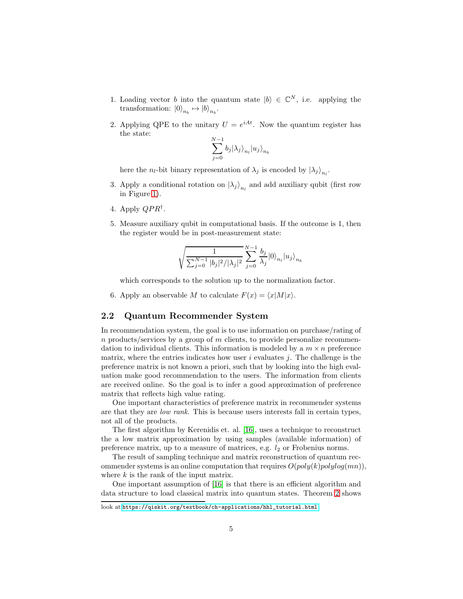- 1. Loading vector b into the quantum state  $|b\rangle \in \mathbb{C}^N$ , i.e. applying the transformation:  $|0\rangle_{n_b} \mapsto |b\rangle_{n_b}$ .
- 2. Applying QPE to the unitary  $U = e^{iAt}$ . Now the quantum register has the state:

$$
\sum_{j=0}^{N-1} b_j | \lambda_j \rangle_{n_l} | u_j \rangle_{n_b}
$$

here the  $n_l$ -bit binary representation of  $\lambda_j$  is encoded by  $\ket{\lambda_j}_{n_l}$ .

- 3. Apply a conditional rotation on  $\left|\lambda_j\right\rangle_{n_l}$  and add auxiliary qubit (first row in Figure [1\)](#page-3-0).
- 4. Apply  $QPR^{\dagger}$ .
- 5. Measure auxiliary qubit in computational basis. If the outcome is 1, then the register would be in post-measurement state:

$$
\sqrt{\frac{1}{\sum_{j=0}^{N-1}|b_j|^2/|\lambda_j|^2}}\sum_{j=0}^{N-1}\frac{b_j}{\lambda_j}|0\rangle_{n_l}|u_j\rangle_{n_b}
$$

which corresponds to the solution up to the normalization factor.

6. Apply an observable M to calculate  $F(x) = \langle x|M|x\rangle$ .

### <span id="page-4-0"></span>2.2 Quantum Recommender System

In recommendation system, the goal is to use information on purchase/rating of  $n$  products/services by a group of  $m$  clients, to provide personalize recommendation to individual clients. This information is modeled by a  $m \times n$  preference matrix, where the entries indicates how user  $i$  evaluates  $j$ . The challenge is the preference matrix is not known a priori, such that by looking into the high evaluation make good recommendation to the users. The information from clients are received online. So the goal is to infer a good approximation of preference matrix that reflects high value rating.

One important characteristics of preference matrix in recommender systems are that they are *low rank*. This is because users interests fall in certain types, not all of the products.

The first algorithm by Kerenidis et. al. [\[16\]](#page-18-1), uses a technique to reconstruct the a low matrix approximation by using samples (available information) of preference matrix, up to a measure of matrices, e.g.  $l_2$  or Frobenius norms.

The result of sampling technique and matrix reconstruction of quantum recommender systems is an online computation that requires  $O(poly(k)polylog(mn)),$ where  $k$  is the rank of the input matrix.

One important assumption of [\[16\]](#page-18-1) is that there is an efficient algorithm and data structure to load classical matrix into quantum states. Theorem [2](#page-8-0) shows

look at:[https://qiskit.org/textbook/ch-applications/hhl\\_tutorial.html](https://qiskit.org/textbook/ch-applications/hhl_tutorial.html)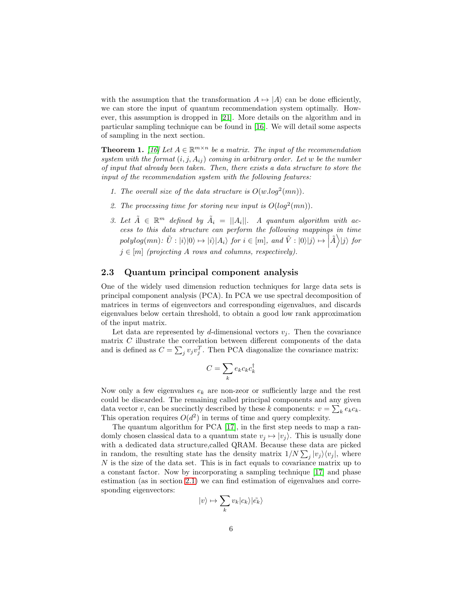with the assumption that the transformation  $A \mapsto |A\rangle$  can be done efficiently, we can store the input of quantum recommendation system optimally. However, this assumption is dropped in [\[21\]](#page-18-2). More details on the algorithm and in particular sampling technique can be found in [\[16\]](#page-18-1). We will detail some aspects of sampling in the next section.

**Theorem 1.** *[\[16\]](#page-18-1)* Let  $A \in \mathbb{R}^{m \times n}$  be a matrix. The input of the recommendation  $system with the format (i, j, A<sub>ij</sub>) coming in arbitrary order. Let w be the number$ *of input that already been taken. Then, there exists a data structure to store the input of the recommendation system with the following features:*

- *1. The overall size of the data structure is*  $O(w.log^2(mn))$ *.*
- 2. The processing time for storing new input is  $O(log^2(mn))$ .
- *3. Let*  $\tilde{A} \in \mathbb{R}^m$  defined by  $\tilde{A}_i = ||A_i||$ . A quantum algorithm with ac*cess to this data structure can perform the following mappings in time*  $polylog(mn): \tilde{U}: |i\rangle|0\rangle \mapsto |i\rangle|A_i\rangle$  for  $i \in [m]$ , and  $\tilde{V}: |0\rangle|j\rangle \mapsto \left|\tilde{A}\right\rangle|j\rangle$  for  $j \in [m]$  *(projecting A rows and columns, respectively).*

#### <span id="page-5-0"></span>2.3 Quantum principal component analysis

One of the widely used dimension reduction techniques for large data sets is principal component analysis (PCA). In PCA we use spectral decomposition of matrices in terms of eigenvectors and corresponding eigenvalues, and discards eigenvalues below certain threshold, to obtain a good low rank approximation of the input matrix.

Let data are represented by d-dimensional vectors  $v_j$ . Then the covariance matrix C illustrate the correlation between different components of the data and is defined as  $C = \sum_j v_j v_j^T$ . Then PCA diagonalize the covariance matrix:

$$
C = \sum_k e_k c_k c_k^{\dagger}
$$

Now only a few eigenvalues  $e_k$  are non-zeor or sufficiently large and the rest could be discarded. The remaining called principal components and any given data vector v, can be succinctly described by these k components:  $v = \sum_k e_k c_k$ . This operation requires  $O(d^2)$  in terms of time and query complexity.

The quantum algorithm for PCA [\[17\]](#page-18-3), in the first step needs to map a randomly chosen classical data to a quantum state  $v_i \mapsto |v_i\rangle$ . This is usually done with a dedicated data structure,called QRAM. Because these data are picked in random, the resulting state has the density matrix  $1/N \sum_j |v_j\rangle\langle v_j|$ , where  $N$  is the size of the data set. This is in fact equals to covariance matrix up to a constant factor. Now by incorporating a sampling technique [\[17\]](#page-18-3) and phase estimation (as in section [2.1\)](#page-2-1) we can find estimation of eigenvalues and corresponding eigenvectors:

$$
|v\rangle \mapsto \sum_k v_k |c_k\rangle |\tilde{e_k}\rangle
$$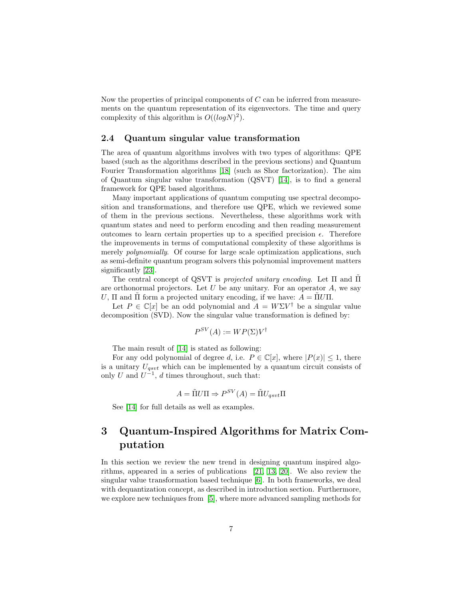Now the properties of principal components of  $C$  can be inferred from measurements on the quantum representation of its eigenvectors. The time and query complexity of this algorithm is  $O((log N)^2)$ .

#### <span id="page-6-0"></span>2.4 Quantum singular value transformation

The area of quantum algorithms involves with two types of algorithms: QPE based (such as the algorithms described in the previous sections) and Quantum Fourier Transformation algorithms [\[18\]](#page-18-5) (such as Shor factorization). The aim of Quantum singular value transformation (QSVT) [\[14\]](#page-18-4), is to find a general framework for QPE based algorithms.

Many important applications of quantum computing use spectral decomposition and transformations, and therefore use QPE, which we reviewed some of them in the previous sections. Nevertheless, these algorithms work with quantum states and need to perform encoding and then reading measurement outcomes to learn certain properties up to a specified precision  $\epsilon$ . Therefore the improvements in terms of computational complexity of these algorithms is merely *polynomially*. Of course for large scale optimization applications, such as semi-definite quantum program solvers this polynomial improvement matters significantly [\[23\]](#page-18-6).

The central concept of QSVT is *projected unitary encoding*. Let Π and Π are orthonormal projectors. Let  $U$  be any unitary. For an operator  $A$ , we say U,  $\Pi$  and  $\Pi$  form a projected unitary encoding, if we have:  $A = \Pi U \Pi$ .

Let  $P \in \mathbb{C}[x]$  be an odd polynomial and  $A = W\Sigma V^{\dagger}$  be a singular value decomposition (SVD). Now the singular value transformation is defined by:

$$
P^{SV}(A) := WP(\Sigma)V^{\dagger}
$$

The main result of [\[14\]](#page-18-4) is stated as following:

For any odd polynomial of degree d, i.e.  $P \in \mathbb{C}[x]$ , where  $|P(x)| \leq 1$ , there is a unitary  $U_{asvt}$  which can be implemented by a quantum circuit consists of only U and  $U^{-1}$ , d times throughout, such that:

$$
A = \tilde{\Pi} U \Pi \Rightarrow P^{SV}(A) = \tilde{\Pi} U_{qsvt} \Pi
$$

See [\[14\]](#page-18-4) for full details as well as examples.

# <span id="page-6-1"></span>3 Quantum-Inspired Algorithms for Matrix Computation

In this section we review the new trend in designing quantum inspired algorithms, appeared in a series of publications [\[21,](#page-18-2) [13,](#page-18-7) [20\]](#page-18-8). We also review the singular value transformation based technique [\[6\]](#page-17-1). In both frameworks, we deal with dequantization concept, as described in introduction section. Furthermore, we explore new techniques from [\[5\]](#page-17-2), where more advanced sampling methods for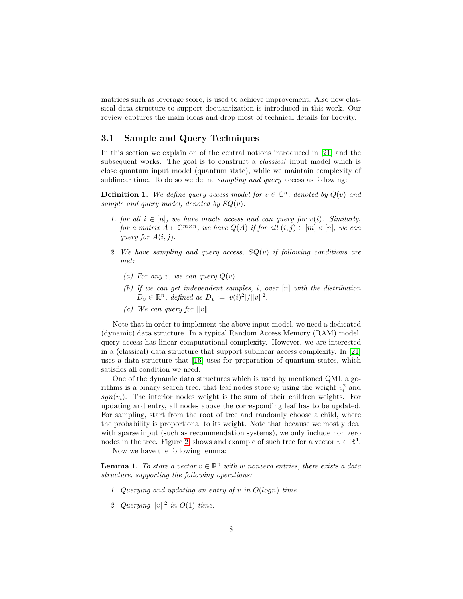matrices such as leverage score, is used to achieve improvement. Also new classical data structure to support dequantization is introduced in this work. Our review captures the main ideas and drop most of technical details for brevity.

### <span id="page-7-0"></span>3.1 Sample and Query Techniques

In this section we explain on of the central notions introduced in [\[21\]](#page-18-2) and the subsequent works. The goal is to construct a *classical* input model which is close quantum input model (quantum state), while we maintain complexity of sublinear time. To do so we define *sampling and query* access as following:

**Definition 1.** We define query access model for  $v \in \mathbb{C}^n$ , denoted by  $Q(v)$  and *sample and query model, denoted by* SQ(v)*:*

- *1. for all*  $i \in [n]$ , we have oracle access and can query for  $v(i)$ . Similarly, *for a matrix*  $A \in \mathbb{C}^{m \times n}$ *, we have*  $Q(A)$  *if for all*  $(i, j) \in [m] \times [n]$ *, we can query for*  $A(i, j)$ *.*
- *2. We have sampling and query access,* SQ(v) *if following conditions are met:*
	- *(a)* For any *v*, we can query  $Q(v)$ .
	- *(b) If we can get independent samples,* i*, over* [n] *with the distribution*  $D_v \in \mathbb{R}^n$ , defined as  $D_v := |v(i)^2|/||v||^2$ .
	- *(c)* We can query for  $||v||$ .

Note that in order to implement the above input model, we need a dedicated (dynamic) data structure. In a typical Random Access Memory (RAM) model, query access has linear computational complexity. However, we are interested in a (classical) data structure that support sublinear access complexity. In [\[21\]](#page-18-2) uses a data structure that [\[16\]](#page-18-1) uses for preparation of quantum states, which satisfies all condition we need.

One of the dynamic data structures which is used by mentioned QML algorithms is a binary search tree, that leaf nodes store  $v_i$  using the weight  $v_i^2$  and  $sgn(v_i)$ . The interior nodes weight is the sum of their children weights. For updating and entry, all nodes above the corresponding leaf has to be updated. For sampling, start from the root of tree and randomly choose a child, where the probability is proportional to its weight. Note that because we mostly deal with sparse input (such as recommendation systems), we only include non zero nodes in the tree. Figure [2,](#page-8-1) shows and example of such tree for a vector  $v \in \mathbb{R}^4$ .

Now we have the following lemma:

<span id="page-7-1"></span>**Lemma 1.** To store a vector  $v \in \mathbb{R}^n$  with w nonzero entries, there exists a data *structure, supporting the following operations:*

- *1. Querying and updating an entry of* v *in* O(logn) *time.*
- 2. Querying  $||v||^2$  in  $O(1)$  time.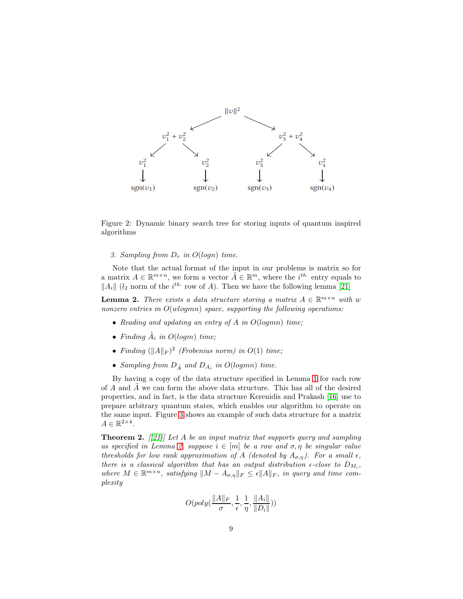

Figure 2: Dynamic binary search tree for storing inputs of quantum inspired algorithms

<span id="page-8-1"></span>*3. Sampling from*  $D_v$  *in*  $O(logn)$  *time.* 

Note that the actual format of the input in our problems is matrix so for a matrix  $A \in \mathbb{R}^{m \times n}$ , we form a vector  $\tilde{A} \in \mathbb{R}^m$ , where the  $i^{th}$  entry equals to  $||A_i||$  ( $l_2$  norm of the  $i^{th}$  row of A). Then we have the following lemma [\[21\]](#page-18-2)

<span id="page-8-2"></span>**Lemma 2.** *There exists a data structure storing a matrix*  $A \in \mathbb{R}^{m \times n}$  *with* w *nonzero entries in* O(wlogmn) *space, supporting the following operations:*

- *Reading and updating an entry of* A *in* O(logmn) *time;*
- *Finding*  $\tilde{A}_i$  *in*  $O(logm)$  *time;*
- *Finding*  $(||A||_F)^2$  (*Frobenius norm*) in  $O(1)$  *time;*
- Sampling from  $D_{\tilde{A}}$  and  $D_{A_i}$  in  $O(logmn)$  time.

By having a copy of the data structure specified in Lemma [1](#page-7-1) for each row of  $A$  and  $A$  we can form the above data structure. This has all of the desired properties, and in fact, is the data structure Kerenidis and Prakash [\[16\]](#page-18-1) use to prepare arbitrary quantum states, which enables our algorithm to operate on the same input. Figure [3](#page-9-0) shows an example of such data structure for a matrix  $A \in \mathbb{R}^{2 \times 4}$ .

<span id="page-8-0"></span>Theorem 2. *[[\[21\]](#page-18-2)] Let* A *be an input matrix that supports query and sampling as specified in Lemma [2,](#page-8-2) suppose*  $i \in [m]$  *be a row and*  $\sigma, \eta$  *be singular value thresholds for low rank approximation of* A *(denoted by*  $A_{\sigma,\eta}$ ). For a small  $\epsilon$ , *there is a classical algorithm that has an output distribution*  $\epsilon$ -close to  $D_{M_i}$ ,  $where M \in \mathbb{R}^{m \times n}$ , satisfying  $||M - A_{\sigma,\eta}||_F \leq \epsilon ||A||_F$ , in query and time com*plexity*

$$
O(poly(\frac{\|A\|_F}{\sigma}, \frac{1}{\epsilon}, \frac{1}{\eta}, \frac{\|A_i\|}{\|D_i\|}))
$$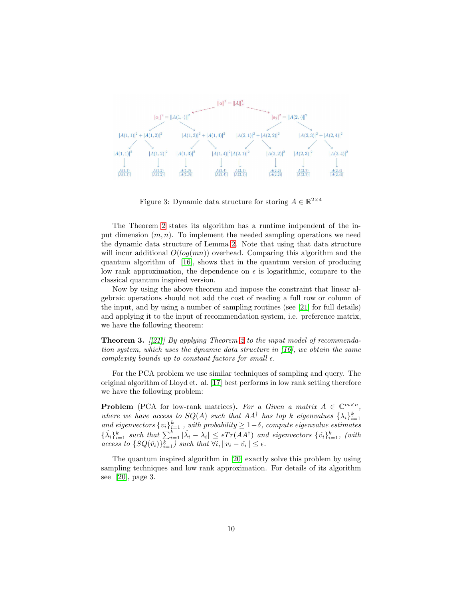

<span id="page-9-0"></span>Figure 3: Dynamic data structure for storing  $A \in \mathbb{R}^{2 \times 4}$ 

The Theorem [2](#page-8-0) states its algorithm has a runtime indpendent of the input dimension  $(m, n)$ . To implement the needed sampling operations we need the dynamic data structure of Lemma [2.](#page-8-2) Note that using that data structure will incur additional  $O(log(mn))$  overhead. Comparing this algorithm and the quantum algorithm of [\[16\]](#page-18-1), shows that in the quantum version of producing low rank approximation, the dependence on  $\epsilon$  is logarithmic, compare to the classical quantum inspired version.

Now by using the above theorem and impose the constraint that linear algebraic operations should not add the cost of reading a full row or column of the input, and by using a number of sampling routines (see [\[21\]](#page-18-2) for full details) and applying it to the input of recommendation system, i.e. preference matrix, we have the following theorem:

Theorem 3. *[[\[21\]](#page-18-2)] By applying Theorem [2](#page-8-0) to the input model of recommendation system, which uses the dynamic data structure in [\[16\]](#page-18-1), we obtain the same complexity bounds up to constant factors for small*  $\epsilon$ *.* 

For the PCA problem we use similar techniques of sampling and query. The original algorithm of Lloyd et. al. [\[17\]](#page-18-3) best performs in low rank setting therefore we have the following problem:

**Problem** (PCA for low-rank matrices). For a Given a matrix  $A \in \mathbb{C}^{m \times n}$ , *where we have access to*  $SQ(A)$  *such that*  $AA^{\dagger}$  *has top* k *eigenvalues*  $\{\lambda_i\}_{i=1}^k$ and eigenvectors  $\{v_i\}_{i=1}^k$ , with probability  $\geq 1-\delta$ , compute eigenvalue estimates  $\{\hat{\lambda}_i\}_{i=1}^k$  such that  $\sum_{i=1}^k |\hat{\lambda}_i - \lambda_i| \leq \epsilon Tr(AA^{\dagger})$  and eigenvectors  $\{\hat{v}_i\}_{i=1}^k$ , (with  $access\ to\ \{SQ(\hat{v_i})\}_{i=1}^k\}$  such that  $\forall i, \|v_i - \hat{v_i}\| \leq \epsilon$ .

The quantum inspired algorithm in [\[20\]](#page-18-8) exactly solve this problem by using sampling techniques and low rank approximation. For details of its algorithm see [\[20\]](#page-18-8), page 3.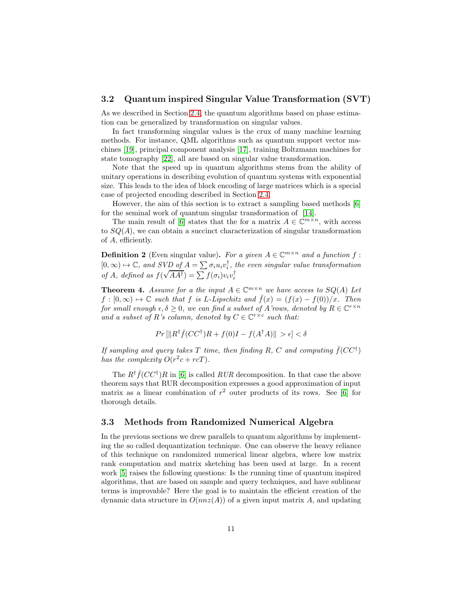#### <span id="page-10-0"></span>3.2 Quantum inspired Singular Value Transformation (SVT)

As we described in Section [2.4,](#page-6-0) the quantum algorithms based on phase estimation can be generalized by transformation on singular values.

In fact transforming singular values is the crux of many machine learning methods. For instance, QML algorithms such as quantum support vector machines [\[19\]](#page-18-9), principal component analysis [\[17\]](#page-18-3), training Boltzmann machines for state tomography [\[22\]](#page-18-10), all are based on singular value transformation.

Note that the speed up in quantum algorithms stems from the ability of unitary operations in describing evolution of quantum systems with exponential size. This leads to the idea of block encoding of large matrices which is a special case of projected encoding described in Section [2.4.](#page-6-0)

However, the aim of this section is to extract a sampling based methods [\[6\]](#page-17-1) for the seminal work of quantum singular transformation of [\[14\]](#page-18-4).

The main result of [\[6\]](#page-17-1) states that the for a matrix  $A \in \mathbb{C}^{m \times n}$ , with access to  $SQ(A)$ , we can obtain a succinct characterization of singular transformation of A, efficiently.

**Definition 2** (Even singular value). For a given  $A \in \mathbb{C}^{m \times n}$  and a function f:  $[0, \infty) \mapsto \mathbb{C}$ , and SVD of  $A = \sum \sigma_i u_i v_i^{\dagger}$ , the even singular value transformation *of A*, defined as  $f(\sqrt{AA^{\dagger}}) = \sum f(\sigma_i)v_i v_i^{\dagger}$ 

**Theorem 4.** Assume for a the input  $A \in \mathbb{C}^{m \times n}$  we have access to  $SQ(A)$  Let  $f : [0, \infty) \mapsto \mathbb{C}$  *such that* f *is L*-*Lipschitz and*  $\bar{f}(x) = (f(x) - f(0))/x$ *. Then for small enough*  $\epsilon, \delta \geq 0$ *, we can find a subset of A'rows, denoted by*  $R \in \mathbb{C}^{r \times n}$ *and a subset of R's column, denoted by*  $C \in \mathbb{C}^{r \times c}$  *such that:* 

$$
Pr\left[\|R^\dagger \bar{f}(CC^\dagger)R + f(0)I - f(A^\dagger A)\right\| > \epsilon \right] < \delta
$$

*If sampling and query takes*  $T$  *time, then finding*  $R$ ,  $C$  *and computing*  $\bar{f}(CC^{\dagger})$ *has the complexity*  $O(r^2c + rcT)$ *.* 

The  $R^{\dagger} \bar{f}(CC^{\dagger})R$  in [\[6\]](#page-17-1) is called  $RUR$  decomposition. In that case the above theorem says that RUR decomposition expresses a good approximation of input matrix as a linear combination of  $r^2$  outer products of its rows. See [\[6\]](#page-17-1) for thorough details.

### <span id="page-10-1"></span>3.3 Methods from Randomized Numerical Algebra

In the previous sections we drew parallels to quantum algorithms by implementing the so called dequantization technique. One can observe the heavy reliance of this technique on randomized numerical linear algebra, where low matrix rank computation and matrix sketching has been used at large. In a recent work [\[5\]](#page-17-2) raises the following questions: Is the running time of quantum inspired algorithms, that are based on sample and query techniques, and have sublinear terms is improvable? Here the goal is to maintain the efficient creation of the dynamic data structure in  $O(nnz(A))$  of a given input matrix A, and updating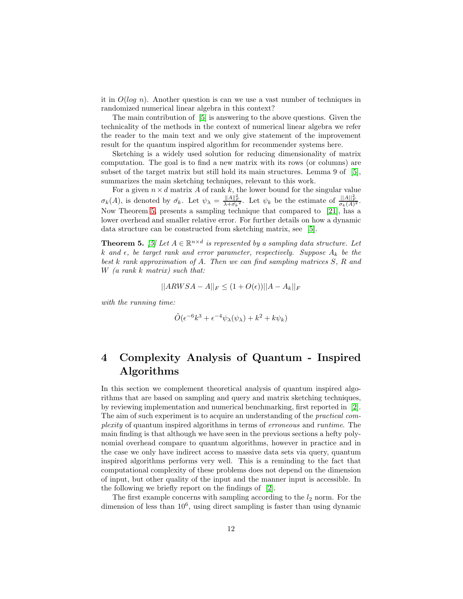it in  $O(log n)$ . Another question is can we use a vast number of techniques in randomized numerical linear algebra in this context?

The main contribution of [\[5\]](#page-17-2) is answering to the above questions. Given the technicality of the methods in the context of numerical linear algebra we refer the reader to the main text and we only give statement of the improvement result for the quantum inspired algorithm for recommender systems here.

Sketching is a widely used solution for reducing dimensionality of matrix computation. The goal is to find a new matrix with its rows (or columns) are subset of the target matrix but still hold its main structures. Lemma 9 of [\[5\]](#page-17-2), summarizes the main sketching techniques, relevant to this work.

For a given  $n \times d$  matrix A of rank k, the lower bound for the singular value  $\sigma_k(A)$ , is denoted by  $\hat{\sigma_k}$ . Let  $\psi_{\lambda} = \frac{\|A\|_F^2}{\lambda + \hat{\sigma_k}^2}$ . Let  $\psi_k$  be the estimate of  $\frac{\|A\|_F^2}{\sigma_k(A)^2}$ . Now Theorem [5,](#page-11-1) presents a sampling technique that compared to [\[21\]](#page-18-2), has a lower overhead and smaller relative error. For further details on how a dynamic data structure can be constructed from sketching matrix, see [\[5\]](#page-17-2).

<span id="page-11-1"></span>**Theorem 5.** [\[5\]](#page-17-2) Let  $A \in \mathbb{R}^{n \times d}$  is represented by a sampling data structure. Let  $k$  and  $\epsilon$ , be target rank and error parameter, respectively. Suppose  $A_k$  be the *best* k *rank approximation of* A*. Then we can find sampling matrices* S*,* R *and* W *(a rank* k *matrix) such that:*

$$
||ARWSA - A||_F \le (1 + O(\epsilon))||A - A_k||_F
$$

*with the running time:*

$$
\tilde{O}(\epsilon^{-6}k^3 + \epsilon^{-4}\psi_{\lambda}(\psi_{\lambda}) + k^2 + k\psi_k)
$$

# <span id="page-11-0"></span>4 Complexity Analysis of Quantum - Inspired Algorithms

In this section we complement theoretical analysis of quantum inspired algorithms that are based on sampling and query and matrix sketching techniques, by reviewing implementation and numerical benchmarking, first reported in [\[2\]](#page-16-0). The aim of such experiment is to acquire an understanding of the *practical complexity* of quantum inspired algorithms in terms of *erroneous* and *runtime*. The main finding is that although we have seen in the previous sections a hefty polynomial overhead compare to quantum algorithms, however in practice and in the case we only have indirect access to massive data sets via query, quantum inspired algorithms performs very well. This is a reminding to the fact that computational complexity of these problems does not depend on the dimension of input, but other quality of the input and the manner input is accessible. In the following we briefly report on the findings of [\[2\]](#page-16-0).

The first example concerns with sampling according to the  $l_2$  norm. For the dimension of less than  $10^6$ , using direct sampling is faster than using dynamic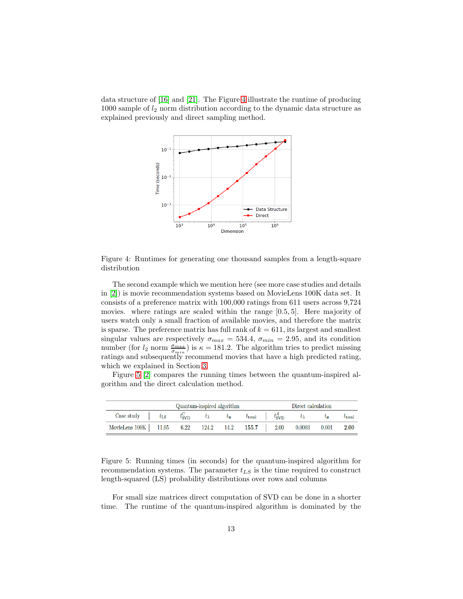data structure of [\[16\]](#page-18-1) and [\[21\]](#page-18-2). The Figure [4](#page-12-0) illustrate the runtime of producing 1000 sample of  $l_2$  norm distribution according to the dynamic data structure as explained previously and direct sampling method.



<span id="page-12-0"></span>Figure 4: Runtimes for generating one thousand samples from a length-square distribution

The second example which we mention here (see more case studies and details in [\[2\]](#page-16-0)) is movie recommendation systems based on MovieLens 100K data set. It consists of a preference matrix with 100,000 ratings from 611 users across 9,724 movies. where ratings are scaled within the range [0.5, 5]. Here majority of users watch only a small fraction of available movies, and therefore the matrix is sparse. The preference matrix has full rank of  $k = 611$ , its largest and smallest singular values are respectively  $\sigma_{max} = 534.4$ ,  $\sigma_{min} = 2.95$ , and its condition number (for  $l_2$  norm  $\frac{\sigma_{max}}{\sigma_{min}}$ ) is  $\kappa = 181.2$ . The algorithm tries to predict missing ratings and subsequently recommend movies that have a high predicted rating, which we explained in Section [3.](#page-6-1)

Figure [5](#page-12-1) [\[2\]](#page-16-0) compares the running times between the quantum-inspired algorithm and the direct calculation method.

|                                                            | Quantum-inspired algorithm |  |                                                                |  |  | Direct calculation                    |               |                      |                 |  |
|------------------------------------------------------------|----------------------------|--|----------------------------------------------------------------|--|--|---------------------------------------|---------------|----------------------|-----------------|--|
| $\text{Case study}$                                        | $t_{\rm LS}$               |  | $t_{\text{SVD}}^{\text{C}}$ $t_{\lambda}$ $t_{\boldsymbol{x}}$ |  |  | $t_{\text{total}}$ $t_{\text{SVD}}^A$ | $t_{\lambda}$ | $t_{\boldsymbol{x}}$ | $t_{\rm total}$ |  |
| MovieLens 100K   11.05 6.22 124.2 14.2 155.7   2.00 0.0003 |                            |  |                                                                |  |  |                                       |               | 0.001                | 2.00            |  |

<span id="page-12-1"></span>Figure 5: Running times (in seconds) for the quantum-inspired algorithm for recommendation systems. The parameter  $t_{LS}$  is the time required to construct length-squared (LS) probability distributions over rows and columns

For small size matrices direct computation of SVD can be done in a shorter time. The runtime of the quantum-inspired algorithm is dominated by the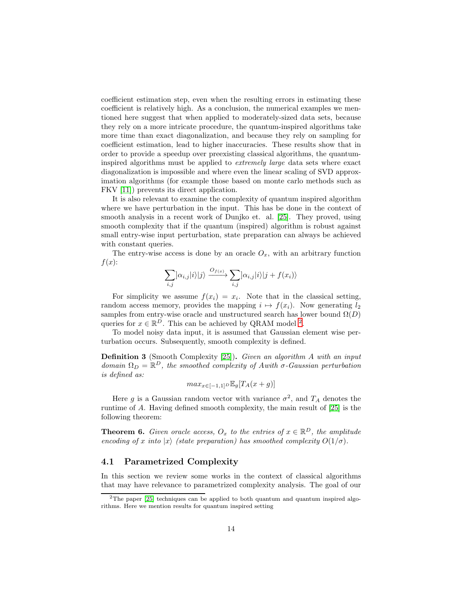coefficient estimation step, even when the resulting errors in estimating these coefficient is relatively high. As a conclusion, the numerical examples we mentioned here suggest that when applied to moderately-sized data sets, because they rely on a more intricate procedure, the quantum-inspired algorithms take more time than exact diagonalization, and because they rely on sampling for coefficient estimation, lead to higher inaccuracies. These results show that in order to provide a speedup over preexisting classical algorithms, the quantuminspired algorithms must be applied to *extremely large* data sets where exact diagonalization is impossible and where even the linear scaling of SVD approximation algorithms (for example those based on monte carlo methods such as FKV [\[11\]](#page-17-6)) prevents its direct application.

It is also relevant to examine the complexity of quantum inspired algorithm where we have perturbation in the input. This has be done in the context of smooth analysis in a recent work of Dunjko et. al. [\[25\]](#page-19-1). They proved, using smooth complexity that if the quantum (inspired) algorithm is robust against small entry-wise input perturbation, state preparation can always be achieved with constant queries.

The entry-wise access is done by an oracle  $O_x$ , with an arbitrary function  $f(x)$ :

$$
\sum_{i,j}]\alpha_{i,j}|i\rangle|j\rangle\xrightarrow{O_{f(x)}}\sum_{i,j}]\alpha_{i,j}|i\rangle|j+f(x_i)\rangle
$$

For simplicity we assume  $f(x_i) = x_i$ . Note that in the classical setting, random access memory, provides the mapping  $i \mapsto f(x_i)$ . Now generating  $l_2$ samples from entry-wise oracle and unstructured search has lower bound  $\Omega(D)$ queries for  $x \in \mathbb{R}^D$ . This can be achieved by QRAM model <sup>[2](#page-13-1)</sup>.

To model noisy data input, it is assumed that Gaussian element wise perturbation occurs. Subsequently, smooth complexity is defined.

Definition 3 (Smooth Complexity [\[25\]](#page-19-1)). *Given an algorithm* A *with an input*  $domain \Omega_D = \mathbb{R}^D$ , the smoothed complexity of Awith  $\sigma$ -Gaussian perturbation *is defined as:*

$$
max_{x \in [-1,1]^D} \mathbb{E}_g[T_A(x+g)]
$$

Here g is a Gaussian random vector with variance  $\sigma^2$ , and  $T_A$  denotes the runtime of A. Having defined smooth complexity, the main result of [\[25\]](#page-19-1) is the following theorem:

**Theorem 6.** *Given oracle access,*  $O_x$  *to the entries of*  $x \in \mathbb{R}^D$ *, the amplitude encoding of* x *into*  $|x\rangle$  *(state preparation) has smoothed complexity*  $O(1/\sigma)$ *.* 

#### <span id="page-13-0"></span>4.1 Parametrized Complexity

In this section we review some works in the context of classical algorithms that may have relevance to parametrized complexity analysis. The goal of our

<span id="page-13-1"></span><sup>&</sup>lt;sup>2</sup>The paper  $[25]$  techniques can be applied to both quantum and quantum inspired algorithms. Here we mention results for quantum inspired setting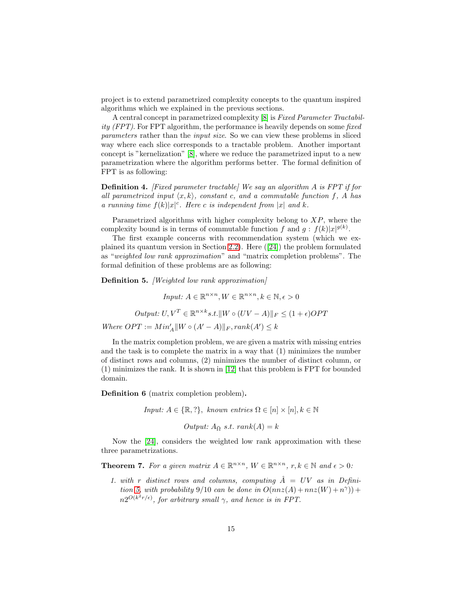project is to extend parametrized complexity concepts to the quantum inspired algorithms which we explained in the previous sections.

A central concept in parametrized complexity [\[8\]](#page-17-3) is *Fixed Parameter Tractability (FPT)*. For FPT algorithm, the performance is heavily depends on some *fixed parameters* rather than the *input size*. So we can view these problems in sliced way where each slice corresponds to a tractable problem. Another important concept is "kernelization" [\[8\]](#page-17-3), where we reduce the parametrized input to a new parametrization where the algorithm performs better. The formal definition of FPT is as following:

Definition 4. *[Fixed parameter tractable] We say an algorithm* A *is FPT if for all parametrized input*  $\langle x, k \rangle$ *, constant* c*, and a commutable function* f*, A has a running time*  $f(k)|x|^c$ *. Here c is independent from* |x| *and* k*.* 

Parametrized algorithms with higher complexity belong to  $XP$ , where the complexity bound is in terms of commutable function f and  $g : f(k)|x|^{g(k)}$ .

The first example concerns with recommendation system (which we explained its quantum version in Section [2.2\)](#page-4-0). Here ([\[24\]](#page-19-0)) the problem formulated as "*weighted low rank approximation*" and "matrix completion problems". The formal definition of these problems are as following:

<span id="page-14-0"></span>Definition 5. *[Weighted low rank approximation]*

*Input:*  $A \in \mathbb{R}^{n \times n}, W \in \mathbb{R}^{n \times n}, k \in \mathbb{N}, \epsilon > 0$ 

*Output:*  $U, V^T \in \mathbb{R}^{n \times k} s.t. \, ||W \circ (UV - A)||_F \leq (1 + \epsilon) OPT$ 

*Where*  $OPT := Min'_A \parallel W \circ (A' - A) \parallel_F, rank(A') \leq k$ 

In the matrix completion problem, we are given a matrix with missing entries and the task is to complete the matrix in a way that (1) minimizes the number of distinct rows and columns, (2) minimizes the number of distinct column, or (1) minimizes the rank. It is shown in [\[12\]](#page-17-7) that this problem is FPT for bounded domain.

Definition 6 (matrix completion problem).

*Input:*  $A \in \{\mathbb{R}, ?\}$ , *known entries*  $\Omega \in [n] \times [n]$ ,  $k \in \mathbb{N}$ 

*Output:*  $A_{\overline{Q}} s.t. rank(A) = k$ 

Now the [\[24\]](#page-19-0), considers the weighted low rank approximation with these three parametrizations.

**Theorem 7.** For a given matrix  $A \in \mathbb{R}^{n \times n}$ ,  $W \in \mathbb{R}^{n \times n}$ ,  $r, k \in \mathbb{N}$  and  $\epsilon > 0$ :

1. with r distinct rows and columns, computing  $\hat{A} = UV$  as in Defini*tion* [5,](#page-14-0) with probability 9/10 *can be done in*  $O(nnz(A) + nnz(W) + n^{\gamma}))$  +  $n2^{O(k^2r/\epsilon)}$ , for arbitrary small  $\gamma$ , and hence is in FPT.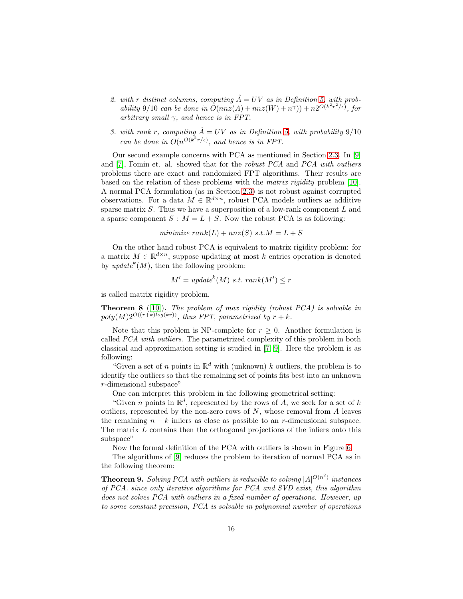- 2. with r distinct columns, computing  $\hat{A} = UV$  as in Definition [5,](#page-14-0) with prob*ability* 9/10 *can be done in*  $O(nnz(A) + nnz(W) + n^{\gamma})) + n2^{O(k^2r^2/\epsilon)}$ , for *arbitrary small* γ*, and hence is in FPT.*
- *3. with rank r, computing*  $\hat{A} = UV$  *as in Definition* [5,](#page-14-0) with probability 9/10 *can be done in*  $O(n^{O(k^2 r / \epsilon)})$ *, and hence is in FPT.*

Our second example concerns with PCA as mentioned in Section [2.3.](#page-5-0) In [\[9\]](#page-17-4) and [\[7\]](#page-17-8), Fomin et. al. showed that for the *robust PCA* and *PCA with outliers* problems there are exact and randomized FPT algorithms. Their results are based on the relation of these problems with the *matrix rigidity* problem [\[10\]](#page-17-5). A normal PCA formulation (as in Section [2.3\)](#page-5-0) is not robust against corrupted observations. For a data  $M \in \mathbb{R}^{d \times n}$ , robust PCA models outliers as additive sparse matrix  $S$ . Thus we have a superposition of a low-rank component  $L$  and a sparse component  $S : M = L + S$ . Now the robust PCA is as following:

$$
minimize rank(L) + nnz(S) s.t. M = L + S
$$

On the other hand robust PCA is equivalent to matrix rigidity problem: for a matrix  $M \in \mathbb{R}^{d \times n}$ , suppose updating at most k entries operation is denoted by  $update^k(M)$ , then the following problem:

$$
M' = updatek(M) s.t. rank(M') \le r
$$

is called matrix rigidity problem.

Theorem 8 ([\[10\]](#page-17-5)). *The problem of max rigidity (robust PCA) is solvable in*  $poly(M)2^{O((r+k)log(kr))}$ , thus FPT, parametrized by  $r + k$ .

Note that this problem is NP-complete for  $r \geq 0$ . Another formulation is called *PCA with outliers*. The parametrized complexity of this problem in both classical and approximation setting is studied in [\[7,](#page-17-8) [9\]](#page-17-4). Here the problem is as following:

"Given a set of n points in  $\mathbb{R}^d$  with (unknown) k outliers, the problem is to identify the outliers so that the remaining set of points fits best into an unknown r-dimensional subspace"

One can interpret this problem in the following geometrical setting:

"Given *n* points in  $\mathbb{R}^d$ , represented by the rows of *A*, we seek for a set of *k* outliers, represented by the non-zero rows of  $N$ , whose removal from  $A$  leaves the remaining  $n - k$  inliers as close as possible to an r-dimensional subspace. The matrix L contains then the orthogonal projections of the inliers onto this subspace"

Now the formal definition of the PCA with outliers is shown in Figure [6.](#page-16-2)

The algorithms of [\[9\]](#page-17-4) reduces the problem to iteration of normal PCA as in the following theorem:

<span id="page-15-0"></span>**Theorem 9.** *Solving PCA with outliers is reducible to solving*  $|A|^{O(n^2)}$  *instances of PCA. since only iterative algorithms for PCA and SVD exist, this algorithm does not solves PCA with outliers in a fixed number of operations. However, up to some constant precision, PCA is solvable in polynomial number of operations*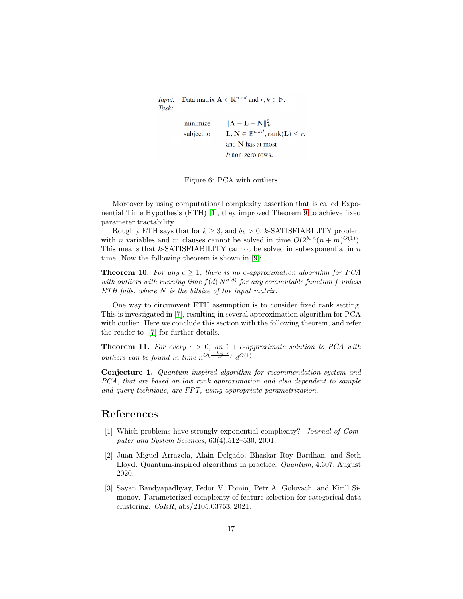Data matrix  $\mathbf{A} \in \mathbb{R}^{n \times d}$  and  $r, k \in \mathbb{N}$ . Input: Task:

```
\|\mathbf{A} - \mathbf{L} - \mathbf{N}\|_F^2minimize
              \mathbf{L}, \mathbf{N} \in \mathbb{R}^{n \times d}, \text{rank}(\mathbf{L}) \leq r,subject to
              and N has at most
              k non-zero rows.
```
<span id="page-16-2"></span>Figure 6: PCA with outliers

Moreover by using computational complexity assertion that is called Exponential Time Hypothesis (ETH) [\[1\]](#page-16-3), they improved Theorem [9](#page-15-0) to achieve fixed parameter tractability.

Roughly ETH says that for  $k \geq 3$ , and  $\delta_k > 0$ , k-SATISFIABILITY problem with *n* variables and *m* clauses cannot be solved in time  $O(2^{\delta_k n} (n+m)^{O(1)})$ . This means that  $k$ -SATISFIABILITY cannot be solved in subexponential in  $n$ time. Now the following theorem is shown in [\[9\]](#page-17-4):

**Theorem 10.** For any  $\epsilon \geq 1$ , there is no  $\epsilon$ -approximation algorithm for PCA with outliers with running time  $f(d) N^{o(d)}$  for any commutable function f unless *ETH fails, where* N *is the bitsize of the input matrix.*

One way to circumvent ETH assumption is to consider fixed rank setting. This is investigated in [\[7\]](#page-17-8), resulting in several approximation algorithm for PCA with outlier. Here we conclude this section with the following theorem, and refer the reader to [\[7\]](#page-17-8) for further details.

**Theorem 11.** For every  $\epsilon > 0$ , an  $1 + \epsilon$ -approximate solution to PCA with *outliers can be found in time*  $n^{O(\frac{r \log r}{\epsilon^2})} d^{O(1)}$ 

Conjecture 1. *Quantum inspired algorithm for recommendation system and PCA, that are based on low rank approximation and also dependent to sample and query technique, are FPT, using appropriate parametrization.*

### <span id="page-16-3"></span>References

- [1] Which problems have strongly exponential complexity? *Journal of Computer and System Sciences*, 63(4):512–530, 2001.
- <span id="page-16-0"></span>[2] Juan Miguel Arrazola, Alain Delgado, Bhaskar Roy Bardhan, and Seth Lloyd. Quantum-inspired algorithms in practice. *Quantum*, 4:307, August 2020.
- <span id="page-16-1"></span>[3] Sayan Bandyapadhyay, Fedor V. Fomin, Petr A. Golovach, and Kirill Simonov. Parameterized complexity of feature selection for categorical data clustering. *CoRR*, abs/2105.03753, 2021.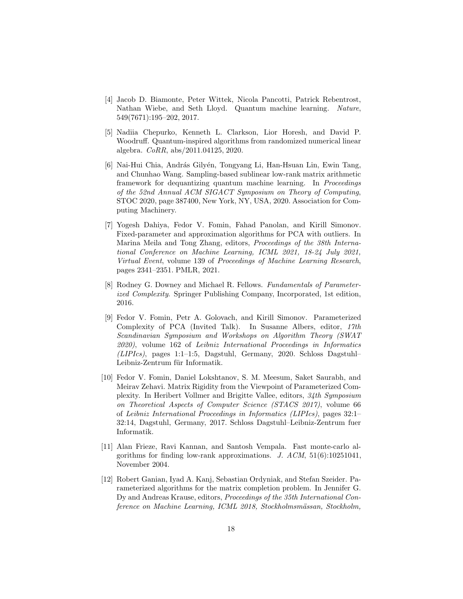- <span id="page-17-0"></span>[4] Jacob D. Biamonte, Peter Wittek, Nicola Pancotti, Patrick Rebentrost, Nathan Wiebe, and Seth Lloyd. Quantum machine learning. *Nature*, 549(7671):195–202, 2017.
- <span id="page-17-2"></span>[5] Nadiia Chepurko, Kenneth L. Clarkson, Lior Horesh, and David P. Woodruff. Quantum-inspired algorithms from randomized numerical linear algebra. *CoRR*, abs/2011.04125, 2020.
- <span id="page-17-1"></span>[6] Nai-Hui Chia, András Gilyén, Tongyang Li, Han-Hsuan Lin, Ewin Tang, and Chunhao Wang. Sampling-based sublinear low-rank matrix arithmetic framework for dequantizing quantum machine learning. In *Proceedings of the 52nd Annual ACM SIGACT Symposium on Theory of Computing*, STOC 2020, page 387400, New York, NY, USA, 2020. Association for Computing Machinery.
- <span id="page-17-8"></span>[7] Yogesh Dahiya, Fedor V. Fomin, Fahad Panolan, and Kirill Simonov. Fixed-parameter and approximation algorithms for PCA with outliers. In Marina Meila and Tong Zhang, editors, *Proceedings of the 38th International Conference on Machine Learning, ICML 2021, 18-24 July 2021, Virtual Event*, volume 139 of *Proceedings of Machine Learning Research*, pages 2341–2351. PMLR, 2021.
- <span id="page-17-3"></span>[8] Rodney G. Downey and Michael R. Fellows. *Fundamentals of Parameterized Complexity*. Springer Publishing Company, Incorporated, 1st edition, 2016.
- <span id="page-17-4"></span>[9] Fedor V. Fomin, Petr A. Golovach, and Kirill Simonov. Parameterized Complexity of PCA (Invited Talk). In Susanne Albers, editor, *17th Scandinavian Symposium and Workshops on Algorithm Theory (SWAT 2020)*, volume 162 of *Leibniz International Proceedings in Informatics (LIPIcs)*, pages 1:1–1:5, Dagstuhl, Germany, 2020. Schloss Dagstuhl– Leibniz-Zentrum für Informatik.
- <span id="page-17-5"></span>[10] Fedor V. Fomin, Daniel Lokshtanov, S. M. Meesum, Saket Saurabh, and Meirav Zehavi. Matrix Rigidity from the Viewpoint of Parameterized Complexity. In Heribert Vollmer and Brigitte Vallee, editors, *34th Symposium on Theoretical Aspects of Computer Science (STACS 2017)*, volume 66 of *Leibniz International Proceedings in Informatics (LIPIcs)*, pages 32:1– 32:14, Dagstuhl, Germany, 2017. Schloss Dagstuhl–Leibniz-Zentrum fuer Informatik.
- <span id="page-17-6"></span>[11] Alan Frieze, Ravi Kannan, and Santosh Vempala. Fast monte-carlo algorithms for finding low-rank approximations. *J. ACM*, 51(6):10251041, November 2004.
- <span id="page-17-7"></span>[12] Robert Ganian, Iyad A. Kanj, Sebastian Ordyniak, and Stefan Szeider. Parameterized algorithms for the matrix completion problem. In Jennifer G. Dy and Andreas Krause, editors, *Proceedings of the 35th International Conference on Machine Learning, ICML 2018, Stockholmsm¨assan, Stockholm,*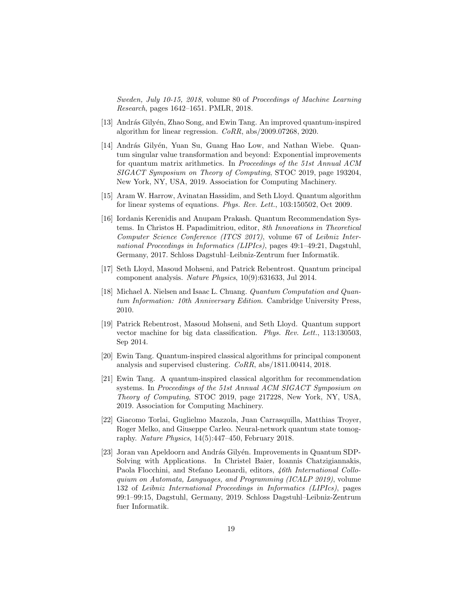*Sweden, July 10-15, 2018*, volume 80 of *Proceedings of Machine Learning Research*, pages 1642–1651. PMLR, 2018.

- <span id="page-18-7"></span><span id="page-18-4"></span>[13] András Gilyén, Zhao Song, and Ewin Tang. An improved quantum-inspired algorithm for linear regression. *CoRR*, abs/2009.07268, 2020.
- [14] András Gilyén, Yuan Su, Guang Hao Low, and Nathan Wiebe. Quantum singular value transformation and beyond: Exponential improvements for quantum matrix arithmetics. In *Proceedings of the 51st Annual ACM SIGACT Symposium on Theory of Computing*, STOC 2019, page 193204, New York, NY, USA, 2019. Association for Computing Machinery.
- <span id="page-18-1"></span><span id="page-18-0"></span>[15] Aram W. Harrow, Avinatan Hassidim, and Seth Lloyd. Quantum algorithm for linear systems of equations. *Phys. Rev. Lett.*, 103:150502, Oct 2009.
- [16] Iordanis Kerenidis and Anupam Prakash. Quantum Recommendation Systems. In Christos H. Papadimitriou, editor, *8th Innovations in Theoretical Computer Science Conference (ITCS 2017)*, volume 67 of *Leibniz International Proceedings in Informatics (LIPIcs)*, pages 49:1–49:21, Dagstuhl, Germany, 2017. Schloss Dagstuhl–Leibniz-Zentrum fuer Informatik.
- <span id="page-18-5"></span><span id="page-18-3"></span>[17] Seth Lloyd, Masoud Mohseni, and Patrick Rebentrost. Quantum principal component analysis. *Nature Physics*, 10(9):631633, Jul 2014.
- [18] Michael A. Nielsen and Isaac L. Chuang. *Quantum Computation and Quantum Information: 10th Anniversary Edition*. Cambridge University Press, 2010.
- <span id="page-18-9"></span>[19] Patrick Rebentrost, Masoud Mohseni, and Seth Lloyd. Quantum support vector machine for big data classification. *Phys. Rev. Lett.*, 113:130503, Sep 2014.
- <span id="page-18-8"></span>[20] Ewin Tang. Quantum-inspired classical algorithms for principal component analysis and supervised clustering. *CoRR*, abs/1811.00414, 2018.
- <span id="page-18-2"></span>[21] Ewin Tang. A quantum-inspired classical algorithm for recommendation systems. In *Proceedings of the 51st Annual ACM SIGACT Symposium on Theory of Computing*, STOC 2019, page 217228, New York, NY, USA, 2019. Association for Computing Machinery.
- <span id="page-18-10"></span>[22] Giacomo Torlai, Guglielmo Mazzola, Juan Carrasquilla, Matthias Troyer, Roger Melko, and Giuseppe Carleo. Neural-network quantum state tomography. *Nature Physics*, 14(5):447–450, February 2018.
- <span id="page-18-6"></span>[23] Joran van Apeldoorn and András Gilyén. Improvements in Quantum SDP-Solving with Applications. In Christel Baier, Ioannis Chatzigiannakis, Paola Flocchini, and Stefano Leonardi, editors, *46th International Colloquium on Automata, Languages, and Programming (ICALP 2019)*, volume 132 of *Leibniz International Proceedings in Informatics (LIPIcs)*, pages 99:1–99:15, Dagstuhl, Germany, 2019. Schloss Dagstuhl–Leibniz-Zentrum fuer Informatik.